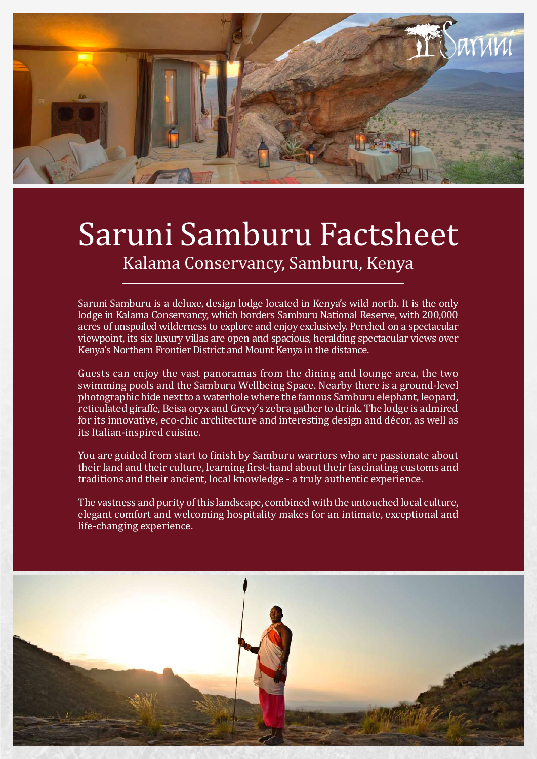

## Saruni Samburu Factsheet Kalama Conservancy, Samburu, Kenya

Saruni Samburu is a deluxe, design lodge located in Kenya's wild north. It is the only lodge in Kalama Conservancy, which borders Samburu National Reserve, with 200,000 acres of unspoiled wilderness to explore and enjoy exclusively. Perched on a spectacular viewpoint, its six luxury villas are open and spacious, heralding spectacular views over Kenya's Northern Frontier District and Mount Kenya in the distance.

Guests can enjoy the vast panoramas from the dining and lounge area, the two swimming pools and the Samburu Wellbeing Space. Nearby there is a ground-level photographic hide next to a waterhole where the famous Samburu elephant, leopard, reticulated giraffe, Beisa oryx and Grevy's zebra gather to drink. The lodge is admired for its innovative, eco-chic architecture and interesting design and décor, as well as its Italian-inspired cuisine.

You are guided from start to finish by Samburu warriors who are passionate about their land and their culture, learning first-hand about their fascinating customs and traditions and their ancient, local knowledge - a truly authentic experience.

The vastness and purity of this landscape, combined with the untouched local culture, elegant comfort and welcoming hospitality makes for an intimate, exceptional and life-changing experience.

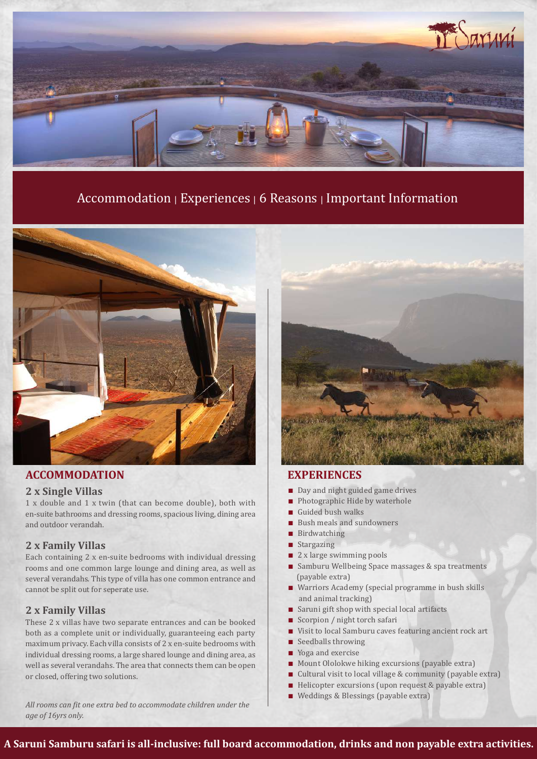

### Accommodation | Experiences | 6 Reasons | Important Information



### **ACCOMMODATION EXPERIENCES**

#### **2 x Single Villas**

1 x double and 1 x twin (that can become double), both with en-suite bathrooms and dressing rooms, spacious living, dining area and outdoor verandah.

### **2 x Family Villas**

Each containing 2 x en-suite bedrooms with individual dressing rooms and one common large lounge and dining area, as well as several verandahs. This type of villa has one common entrance and cannot be split out for seperate use.

### **2 x Family Villas**

These 2 x villas have two separate entrances and can be booked both as a complete unit or individually, guaranteeing each party maximum privacy. Each villa consists of 2 x en-suite bedrooms with individual dressing rooms, a large shared lounge and dining area, as well as several verandahs. The area that connects them can be open or closed, offering two solutions.

*All rooms can fit one extra bed to accommodate children under the age of 16yrs only.*



- Day and night guided game drives
- Photographic Hide by waterhole
- Guided bush walks
- Bush meals and sundowners
- Birdwatching
- Stargazing
- 2 x large swimming pools
- Samburu Wellbeing Space massages & spa treatments (payable extra)
- Warriors Academy (special programme in bush skills and animal tracking)
- Saruni gift shop with special local artifacts
- Scorpion / night torch safari
- Visit to local Samburu caves featuring ancient rock art
- $\blacksquare$  Seedballs throwing
- Yoga and exercise
- Mount Ololokwe hiking excursions (payable extra)
- Cultural visit to local village & community (payable extra)
- Helicopter excursions (upon request & payable extra)
- Weddings & Blessings (payable extra)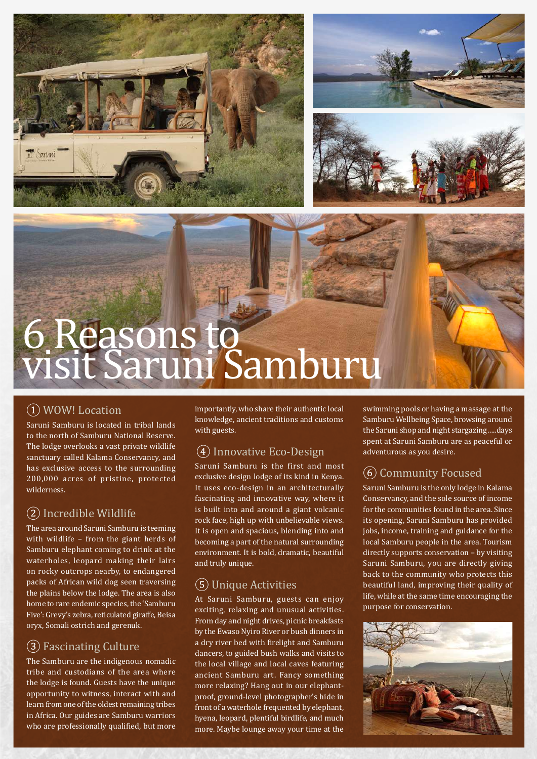





# 6 Reasons to visit Saruni Samburu

### ① WOW! Location

Saruni Samburu is located in tribal lands to the north of Samburu National Reserve. The lodge overlooks a vast private wildlife sanctuary called Kalama Conservancy, and has exclusive access to the surrounding 200,000 acres of pristine, protected wilderness.

### ② Incredible Wildlife

The area around Saruni Samburu is teeming with wildlife – from the giant herds of Samburu elephant coming to drink at the waterholes, leopard making their lairs on rocky outcrops nearby, to endangered packs of African wild dog seen traversing the plains below the lodge. The area is also home to rare endemic species, the 'Samburu Five': Grevy's zebra, reticulated giraffe, Beisa oryx, Somali ostrich and gerenuk.

### ③ Fascinating Culture

The Samburu are the indigenous nomadic tribe and custodians of the area where the lodge is found. Guests have the unique opportunity to witness, interact with and learn from one of the oldest remaining tribes in Africa. Our guides are Samburu warriors who are professionally qualified, but more importantly, who share their authentic local knowledge, ancient traditions and customs with guests.

### ④ Innovative Eco-Design

Saruni Samburu is the first and most exclusive design lodge of its kind in Kenya. It uses eco-design in an architecturally fascinating and innovative way, where it is built into and around a giant volcanic rock face, high up with unbelievable views. It is open and spacious, blending into and becoming a part of the natural surrounding environment. It is bold, dramatic, beautiful and truly unique.

### ⑤ Unique Activities

At Saruni Samburu, guests can enjoy exciting, relaxing and unusual activities. From day and night drives, picnic breakfasts by the Ewaso Nyiro River or bush dinners in a dry river bed with firelight and Samburu dancers, to guided bush walks and visits to the local village and local caves featuring ancient Samburu art. Fancy something more relaxing? Hang out in our elephantproof, ground-level photographer's hide in front of a waterhole frequented by elephant, hyena, leopard, plentiful birdlife, and much more. Maybe lounge away your time at the

swimming pools or having a massage at the Samburu Wellbeing Space, browsing around the Saruni shop and night stargazing…..days spent at Saruni Samburu are as peaceful or adventurous as you desire.

### ⑥ Community Focused

Saruni Samburu is the only lodge in Kalama Conservancy, and the sole source of income for the communities found in the area. Since its opening, Saruni Samburu has provided jobs, income, training and guidance for the local Samburu people in the area. Tourism directly supports conservation – by visiting Saruni Samburu, you are directly giving back to the community who protects this beautiful land, improving their quality of life, while at the same time encouraging the purpose for conservation.